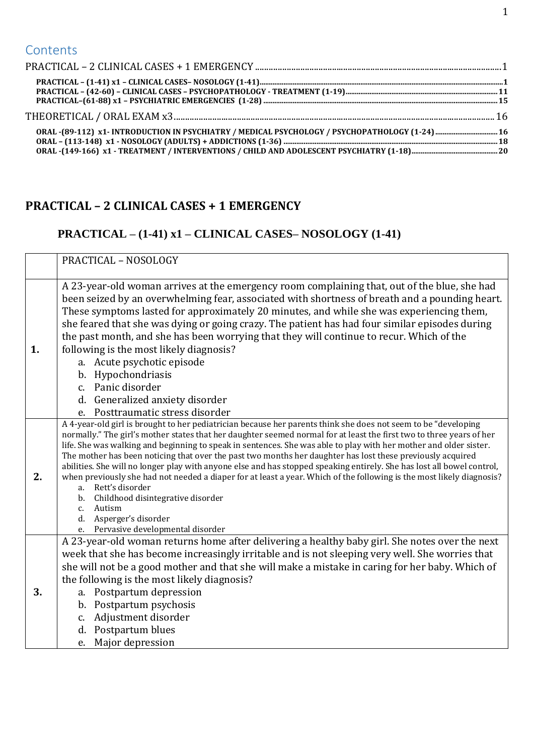## **Contents**

| ORAL-(89-112) x1- INTRODUCTION IN PSYCHIATRY / MEDICAL PSYCHOLOGY / PSYCHOPATHOLOGY (1-24)  16 |  |
|------------------------------------------------------------------------------------------------|--|
|                                                                                                |  |
|                                                                                                |  |

# <span id="page-0-0"></span>**PRACTICAL – 2 CLINICAL CASES + 1 EMERGENCY**

# **PRACTICAL – (1-41) x1 – CLINICAL CASES– NOSOLOGY (1-41)**

<span id="page-0-1"></span>

|    | PRACTICAL - NOSOLOGY                                                                                                                                                                                                                                                                                                                                                                                                                                                                                                                                                                                                                                                                                                                                                                                                                                                             |
|----|----------------------------------------------------------------------------------------------------------------------------------------------------------------------------------------------------------------------------------------------------------------------------------------------------------------------------------------------------------------------------------------------------------------------------------------------------------------------------------------------------------------------------------------------------------------------------------------------------------------------------------------------------------------------------------------------------------------------------------------------------------------------------------------------------------------------------------------------------------------------------------|
| 1. | A 23-year-old woman arrives at the emergency room complaining that, out of the blue, she had<br>been seized by an overwhelming fear, associated with shortness of breath and a pounding heart.<br>These symptoms lasted for approximately 20 minutes, and while she was experiencing them,<br>she feared that she was dying or going crazy. The patient has had four similar episodes during<br>the past month, and she has been worrying that they will continue to recur. Which of the<br>following is the most likely diagnosis?<br>a. Acute psychotic episode<br>b. Hypochondriasis<br>c. Panic disorder<br>d. Generalized anxiety disorder<br>e. Posttraumatic stress disorder                                                                                                                                                                                              |
| 2. | A 4-year-old girl is brought to her pediatrician because her parents think she does not seem to be "developing<br>normally." The girl's mother states that her daughter seemed normal for at least the first two to three years of her<br>life. She was walking and beginning to speak in sentences. She was able to play with her mother and older sister.<br>The mother has been noticing that over the past two months her daughter has lost these previously acquired<br>abilities. She will no longer play with anyone else and has stopped speaking entirely. She has lost all bowel control,<br>when previously she had not needed a diaper for at least a year. Which of the following is the most likely diagnosis?<br>a. Rett's disorder<br>b. Childhood disintegrative disorder<br>Autism<br>$C_{1}$<br>d. Asperger's disorder<br>e. Pervasive developmental disorder |
| 3. | A 23-year-old woman returns home after delivering a healthy baby girl. She notes over the next<br>week that she has become increasingly irritable and is not sleeping very well. She worries that<br>she will not be a good mother and that she will make a mistake in caring for her baby. Which of<br>the following is the most likely diagnosis?<br>a. Postpartum depression<br>b. Postpartum psychosis<br>c. Adjustment disorder<br>d. Postpartum blues<br>e. Major depression                                                                                                                                                                                                                                                                                                                                                                                               |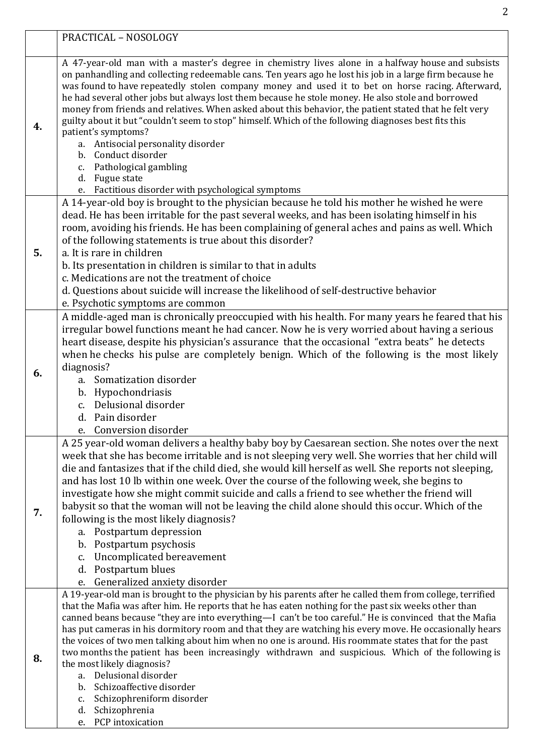|    | PRACTICAL - NOSOLOGY                                                                                                                                                                                                                                                                                                                                                                                                                                                                                                                                                                                                                                                                                                                                                                                                            |
|----|---------------------------------------------------------------------------------------------------------------------------------------------------------------------------------------------------------------------------------------------------------------------------------------------------------------------------------------------------------------------------------------------------------------------------------------------------------------------------------------------------------------------------------------------------------------------------------------------------------------------------------------------------------------------------------------------------------------------------------------------------------------------------------------------------------------------------------|
|    |                                                                                                                                                                                                                                                                                                                                                                                                                                                                                                                                                                                                                                                                                                                                                                                                                                 |
| 4. | A 47-year-old man with a master's degree in chemistry lives alone in a halfway house and subsists<br>on panhandling and collecting redeemable cans. Ten years ago he lost his job in a large firm because he<br>was found to have repeatedly stolen company money and used it to bet on horse racing. Afterward,<br>he had several other jobs but always lost them because he stole money. He also stole and borrowed<br>money from friends and relatives. When asked about this behavior, the patient stated that he felt very<br>guilty about it but "couldn't seem to stop" himself. Which of the following diagnoses best fits this<br>patient's symptoms?<br>a. Antisocial personality disorder<br>b. Conduct disorder<br>c. Pathological gambling<br>d. Fugue state<br>e. Factitious disorder with psychological symptoms |
| 5. | A 14-year-old boy is brought to the physician because he told his mother he wished he were<br>dead. He has been irritable for the past several weeks, and has been isolating himself in his<br>room, avoiding his friends. He has been complaining of general aches and pains as well. Which<br>of the following statements is true about this disorder?<br>a. It is rare in children<br>b. Its presentation in children is similar to that in adults<br>c. Medications are not the treatment of choice<br>d. Questions about suicide will increase the likelihood of self-destructive behavior<br>e. Psychotic symptoms are common                                                                                                                                                                                             |
| 6. | A middle-aged man is chronically preoccupied with his health. For many years he feared that his<br>irregular bowel functions meant he had cancer. Now he is very worried about having a serious<br>heart disease, despite his physician's assurance that the occasional "extra beats" he detects<br>when he checks his pulse are completely benign. Which of the following is the most likely<br>diagnosis?<br>a. Somatization disorder<br>b. Hypochondriasis<br>c. Delusional disorder<br>d. Pain disorder<br>e. Conversion disorder                                                                                                                                                                                                                                                                                           |
| 7. | A 25 year-old woman delivers a healthy baby boy by Caesarean section. She notes over the next<br>week that she has become irritable and is not sleeping very well. She worries that her child will<br>die and fantasizes that if the child died, she would kill herself as well. She reports not sleeping,<br>and has lost 10 lb within one week. Over the course of the following week, she begins to<br>investigate how she might commit suicide and calls a friend to see whether the friend will<br>babysit so that the woman will not be leaving the child alone should this occur. Which of the<br>following is the most likely diagnosis?<br>a. Postpartum depression<br>b. Postpartum psychosis<br>c. Uncomplicated bereavement<br>d. Postpartum blues<br>e. Generalized anxiety disorder                               |
| 8. | A 19-year-old man is brought to the physician by his parents after he called them from college, terrified<br>that the Mafia was after him. He reports that he has eaten nothing for the past six weeks other than<br>canned beans because "they are into everything-I can't be too careful." He is convinced that the Mafia<br>has put cameras in his dormitory room and that they are watching his every move. He occasionally hears<br>the voices of two men talking about him when no one is around. His roommate states that for the past<br>two months the patient has been increasingly withdrawn and suspicious. Which of the following is<br>the most likely diagnosis?<br>a. Delusional disorder<br>b. Schizoaffective disorder<br>Schizophreniform disorder<br>c.<br>d. Schizophrenia<br>e. PCP intoxication          |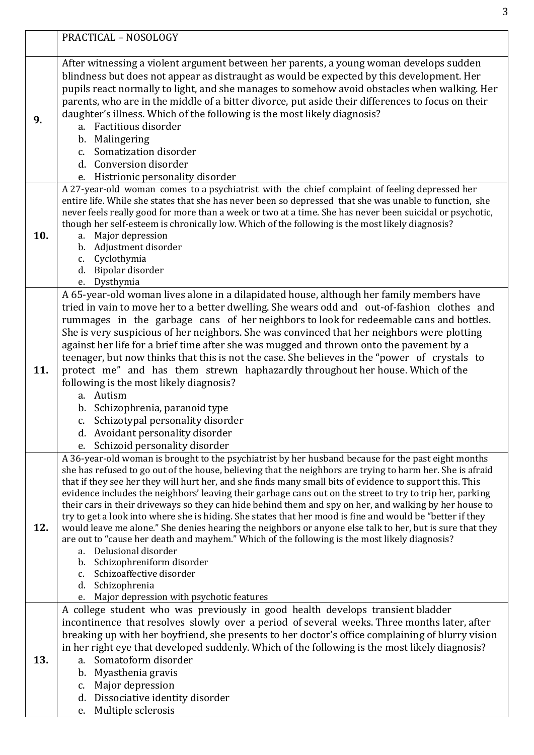|     | PRACTICAL - NOSOLOGY                                                                                                                                                                                                                                                                                                                                                                                                                                                                                                                                                                                                                                                                                                                                                                                                                                                                                                                                                                                                                        |
|-----|---------------------------------------------------------------------------------------------------------------------------------------------------------------------------------------------------------------------------------------------------------------------------------------------------------------------------------------------------------------------------------------------------------------------------------------------------------------------------------------------------------------------------------------------------------------------------------------------------------------------------------------------------------------------------------------------------------------------------------------------------------------------------------------------------------------------------------------------------------------------------------------------------------------------------------------------------------------------------------------------------------------------------------------------|
|     |                                                                                                                                                                                                                                                                                                                                                                                                                                                                                                                                                                                                                                                                                                                                                                                                                                                                                                                                                                                                                                             |
| 9.  | After witnessing a violent argument between her parents, a young woman develops sudden<br>blindness but does not appear as distraught as would be expected by this development. Her<br>pupils react normally to light, and she manages to somehow avoid obstacles when walking. Her<br>parents, who are in the middle of a bitter divorce, put aside their differences to focus on their<br>daughter's illness. Which of the following is the most likely diagnosis?<br>a. Factitious disorder<br>b. Malingering<br>c. Somatization disorder<br>d. Conversion disorder<br>e. Histrionic personality disorder                                                                                                                                                                                                                                                                                                                                                                                                                                |
| 10. | A 27-year-old woman comes to a psychiatrist with the chief complaint of feeling depressed her<br>entire life. While she states that she has never been so depressed that she was unable to function, she<br>never feels really good for more than a week or two at a time. She has never been suicidal or psychotic,<br>though her self-esteem is chronically low. Which of the following is the most likely diagnosis?<br>a. Major depression<br>b. Adjustment disorder<br>c. Cyclothymia<br>d. Bipolar disorder<br>e. Dysthymia                                                                                                                                                                                                                                                                                                                                                                                                                                                                                                           |
| 11. | A 65-year-old woman lives alone in a dilapidated house, although her family members have<br>tried in vain to move her to a better dwelling. She wears odd and out-of-fashion clothes and<br>rummages in the garbage cans of her neighbors to look for redeemable cans and bottles.<br>She is very suspicious of her neighbors. She was convinced that her neighbors were plotting<br>against her life for a brief time after she was mugged and thrown onto the pavement by a<br>teenager, but now thinks that this is not the case. She believes in the "power of crystals to<br>protect me" and has them strewn haphazardly throughout her house. Which of the<br>following is the most likely diagnosis?<br>a. Autism<br>b. Schizophrenia, paranoid type<br>c. Schizotypal personality disorder<br>d. Avoidant personality disorder<br>e. Schizoid personality disorder                                                                                                                                                                  |
| 12. | A 36-year-old woman is brought to the psychiatrist by her husband because for the past eight months<br>she has refused to go out of the house, believing that the neighbors are trying to harm her. She is afraid<br>that if they see her they will hurt her, and she finds many small bits of evidence to support this. This<br>evidence includes the neighbors' leaving their garbage cans out on the street to try to trip her, parking<br>their cars in their driveways so they can hide behind them and spy on her, and walking by her house to<br>try to get a look into where she is hiding. She states that her mood is fine and would be "better if they<br>would leave me alone." She denies hearing the neighbors or anyone else talk to her, but is sure that they<br>are out to "cause her death and mayhem." Which of the following is the most likely diagnosis?<br>a. Delusional disorder<br>b. Schizophreniform disorder<br>c. Schizoaffective disorder<br>d. Schizophrenia<br>e. Major depression with psychotic features |
| 13. | A college student who was previously in good health develops transient bladder<br>incontinence that resolves slowly over a period of several weeks. Three months later, after<br>breaking up with her boyfriend, she presents to her doctor's office complaining of blurry vision<br>in her right eye that developed suddenly. Which of the following is the most likely diagnosis?<br>a. Somatoform disorder<br>b. Myasthenia gravis<br>c. Major depression<br>d. Dissociative identity disorder<br>e. Multiple sclerosis                                                                                                                                                                                                                                                                                                                                                                                                                                                                                                                  |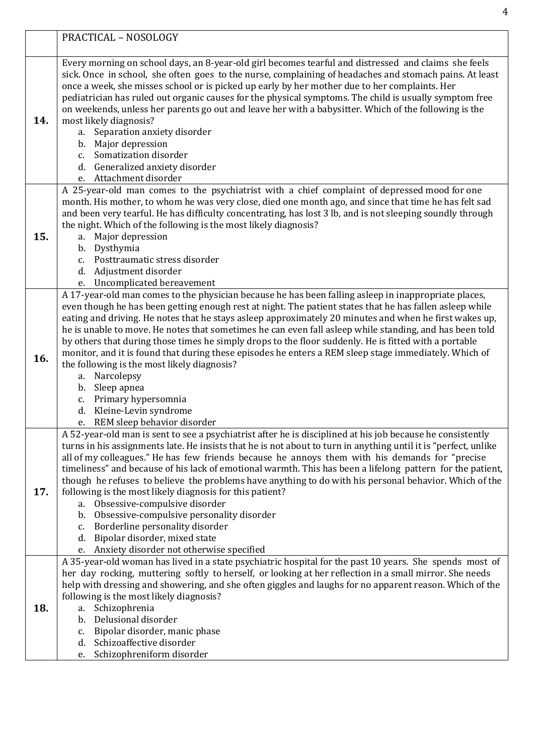|     | PRACTICAL - NOSOLOGY                                                                                                                                                                                                                                                                                                                                                                                                                                                                                                                                                                                                                                                                                                                                                                                                                |
|-----|-------------------------------------------------------------------------------------------------------------------------------------------------------------------------------------------------------------------------------------------------------------------------------------------------------------------------------------------------------------------------------------------------------------------------------------------------------------------------------------------------------------------------------------------------------------------------------------------------------------------------------------------------------------------------------------------------------------------------------------------------------------------------------------------------------------------------------------|
| 14. | Every morning on school days, an 8-year-old girl becomes tearful and distressed and claims she feels<br>sick. Once in school, she often goes to the nurse, complaining of headaches and stomach pains. At least<br>once a week, she misses school or is picked up early by her mother due to her complaints. Her<br>pediatrician has ruled out organic causes for the physical symptoms. The child is usually symptom free<br>on weekends, unless her parents go out and leave her with a babysitter. Which of the following is the<br>most likely diagnosis?<br>a. Separation anxiety disorder<br>b. Major depression<br>c. Somatization disorder<br>d. Generalized anxiety disorder<br>e. Attachment disorder                                                                                                                     |
| 15. | A 25-year-old man comes to the psychiatrist with a chief complaint of depressed mood for one<br>month. His mother, to whom he was very close, died one month ago, and since that time he has felt sad<br>and been very tearful. He has difficulty concentrating, has lost 3 lb, and is not sleeping soundly through<br>the night. Which of the following is the most likely diagnosis?<br>a. Major depression<br>b. Dysthymia<br>c. Posttraumatic stress disorder<br>d. Adjustment disorder<br>e. Uncomplicated bereavement                                                                                                                                                                                                                                                                                                         |
| 16. | A 17-year-old man comes to the physician because he has been falling asleep in inappropriate places,<br>even though he has been getting enough rest at night. The patient states that he has fallen asleep while<br>eating and driving. He notes that he stays asleep approximately 20 minutes and when he first wakes up,<br>he is unable to move. He notes that sometimes he can even fall asleep while standing, and has been told<br>by others that during those times he simply drops to the floor suddenly. He is fitted with a portable<br>monitor, and it is found that during these episodes he enters a REM sleep stage immediately. Which of<br>the following is the most likely diagnosis?<br>a. Narcolepsy<br>b. Sleep apnea<br>c. Primary hypersomnia<br>d. Kleine-Levin syndrome<br>e. REM sleep behavior disorder   |
| 17. | A 52-year-old man is sent to see a psychiatrist after he is disciplined at his job because he consistently<br>turns in his assignments late. He insists that he is not about to turn in anything until it is "perfect, unlike<br>all of my colleagues." He has few friends because he annoys them with his demands for "precise<br>timeliness" and because of his lack of emotional warmth. This has been a lifelong pattern for the patient,<br>though he refuses to believe the problems have anything to do with his personal behavior. Which of the<br>following is the most likely diagnosis for this patient?<br>a. Obsessive-compulsive disorder<br>b. Obsessive-compulsive personality disorder<br>c. Borderline personality disorder<br>d. Bipolar disorder, mixed state<br>Anxiety disorder not otherwise specified<br>e. |
| 18. | A 35-year-old woman has lived in a state psychiatric hospital for the past 10 years. She spends most of<br>her day rocking, muttering softly to herself, or looking at her reflection in a small mirror. She needs<br>help with dressing and showering, and she often giggles and laughs for no apparent reason. Which of the<br>following is the most likely diagnosis?<br>Schizophrenia<br>a.<br>Delusional disorder<br>b.<br>Bipolar disorder, manic phase<br>c.<br>Schizoaffective disorder<br>d.<br>Schizophreniform disorder<br>e.                                                                                                                                                                                                                                                                                            |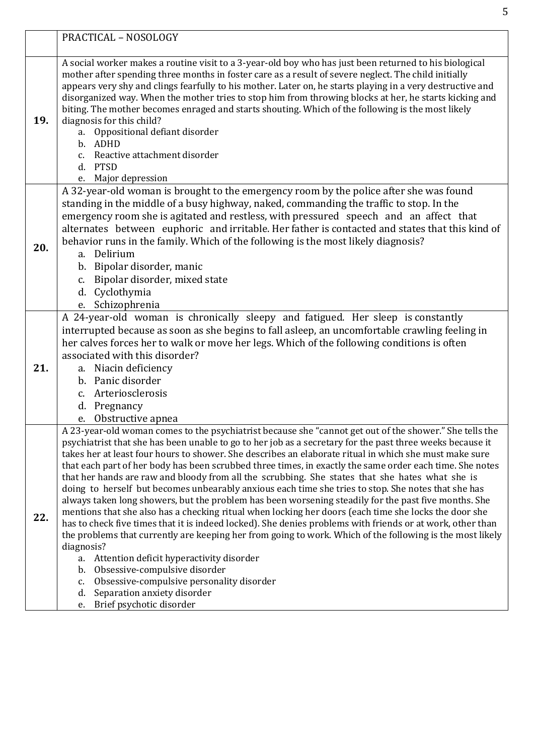|     | PRACTICAL - NOSOLOGY                                                                                                                                                                                                                                                                                                                                                                                                                                                                                                                                                                                                                                                                                                                                                                                                                                                                                                                                                                                                                                                                                                                                                                                                                                                                                                              |
|-----|-----------------------------------------------------------------------------------------------------------------------------------------------------------------------------------------------------------------------------------------------------------------------------------------------------------------------------------------------------------------------------------------------------------------------------------------------------------------------------------------------------------------------------------------------------------------------------------------------------------------------------------------------------------------------------------------------------------------------------------------------------------------------------------------------------------------------------------------------------------------------------------------------------------------------------------------------------------------------------------------------------------------------------------------------------------------------------------------------------------------------------------------------------------------------------------------------------------------------------------------------------------------------------------------------------------------------------------|
|     |                                                                                                                                                                                                                                                                                                                                                                                                                                                                                                                                                                                                                                                                                                                                                                                                                                                                                                                                                                                                                                                                                                                                                                                                                                                                                                                                   |
| 19. | A social worker makes a routine visit to a 3-year-old boy who has just been returned to his biological<br>mother after spending three months in foster care as a result of severe neglect. The child initially<br>appears very shy and clings fearfully to his mother. Later on, he starts playing in a very destructive and<br>disorganized way. When the mother tries to stop him from throwing blocks at her, he starts kicking and<br>biting. The mother becomes enraged and starts shouting. Which of the following is the most likely<br>diagnosis for this child?<br>a. Oppositional defiant disorder<br>b. ADHD<br>c. Reactive attachment disorder<br>d. PTSD<br>e. Major depression                                                                                                                                                                                                                                                                                                                                                                                                                                                                                                                                                                                                                                      |
| 20. | A 32-year-old woman is brought to the emergency room by the police after she was found<br>standing in the middle of a busy highway, naked, commanding the traffic to stop. In the<br>emergency room she is agitated and restless, with pressured speech and an affect that<br>alternates between euphoric and irritable. Her father is contacted and states that this kind of<br>behavior runs in the family. Which of the following is the most likely diagnosis?<br>a. Delirium<br>b. Bipolar disorder, manic<br>c. Bipolar disorder, mixed state<br>d. Cyclothymia<br>e. Schizophrenia                                                                                                                                                                                                                                                                                                                                                                                                                                                                                                                                                                                                                                                                                                                                         |
| 21. | A 24-year-old woman is chronically sleepy and fatigued. Her sleep is constantly<br>interrupted because as soon as she begins to fall asleep, an uncomfortable crawling feeling in<br>her calves forces her to walk or move her legs. Which of the following conditions is often<br>associated with this disorder?<br>a. Niacin deficiency<br>b. Panic disorder<br>c. Arteriosclerosis<br>d. Pregnancy<br>e. Obstructive apnea                                                                                                                                                                                                                                                                                                                                                                                                                                                                                                                                                                                                                                                                                                                                                                                                                                                                                                     |
| 22. | A 23-year-old woman comes to the psychiatrist because she "cannot get out of the shower." She tells the<br>psychiatrist that she has been unable to go to her job as a secretary for the past three weeks because it<br>takes her at least four hours to shower. She describes an elaborate ritual in which she must make sure<br>that each part of her body has been scrubbed three times, in exactly the same order each time. She notes<br>that her hands are raw and bloody from all the scrubbing. She states that she hates what she is<br>doing to herself but becomes unbearably anxious each time she tries to stop. She notes that she has<br>always taken long showers, but the problem has been worsening steadily for the past five months. She<br>mentions that she also has a checking ritual when locking her doors (each time she locks the door she<br>has to check five times that it is indeed locked). She denies problems with friends or at work, other than<br>the problems that currently are keeping her from going to work. Which of the following is the most likely<br>diagnosis?<br>Attention deficit hyperactivity disorder<br>a.<br>Obsessive-compulsive disorder<br>b.<br>Obsessive-compulsive personality disorder<br>c.<br>Separation anxiety disorder<br>d.<br>Brief psychotic disorder<br>e. |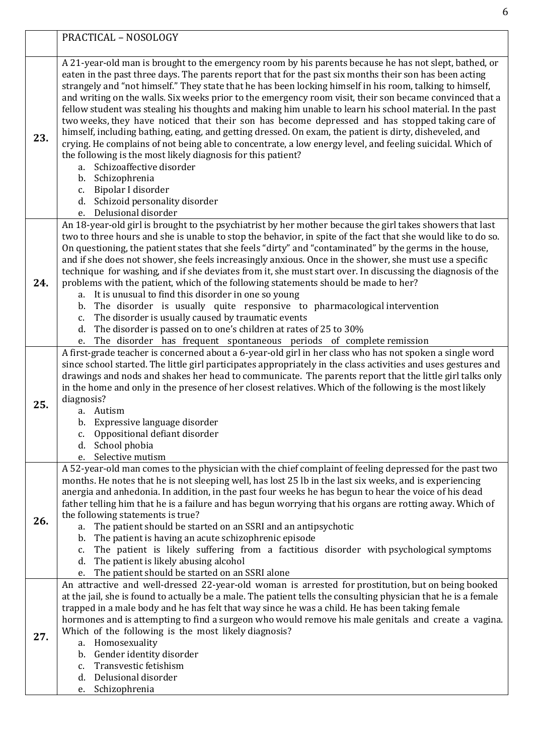|     | PRACTICAL - NOSOLOGY                                                                                                                                                                                                                                                                                                                                                                                                                                                                                                                                                                                                                                                                                                                                                                                                                                                                                                                                                                                                                                                                           |
|-----|------------------------------------------------------------------------------------------------------------------------------------------------------------------------------------------------------------------------------------------------------------------------------------------------------------------------------------------------------------------------------------------------------------------------------------------------------------------------------------------------------------------------------------------------------------------------------------------------------------------------------------------------------------------------------------------------------------------------------------------------------------------------------------------------------------------------------------------------------------------------------------------------------------------------------------------------------------------------------------------------------------------------------------------------------------------------------------------------|
|     |                                                                                                                                                                                                                                                                                                                                                                                                                                                                                                                                                                                                                                                                                                                                                                                                                                                                                                                                                                                                                                                                                                |
| 23. | A 21-year-old man is brought to the emergency room by his parents because he has not slept, bathed, or<br>eaten in the past three days. The parents report that for the past six months their son has been acting<br>strangely and "not himself." They state that he has been locking himself in his room, talking to himself,<br>and writing on the walls. Six weeks prior to the emergency room visit, their son became convinced that a<br>fellow student was stealing his thoughts and making him unable to learn his school material. In the past<br>two weeks, they have noticed that their son has become depressed and has stopped taking care of<br>himself, including bathing, eating, and getting dressed. On exam, the patient is dirty, disheveled, and<br>crying. He complains of not being able to concentrate, a low energy level, and feeling suicidal. Which of<br>the following is the most likely diagnosis for this patient?<br>a. Schizoaffective disorder<br>b. Schizophrenia<br>c. Bipolar I disorder<br>d. Schizoid personality disorder<br>Delusional disorder<br>e. |
|     | An 18-year-old girl is brought to the psychiatrist by her mother because the girl takes showers that last                                                                                                                                                                                                                                                                                                                                                                                                                                                                                                                                                                                                                                                                                                                                                                                                                                                                                                                                                                                      |
| 24. | two to three hours and she is unable to stop the behavior, in spite of the fact that she would like to do so.<br>On questioning, the patient states that she feels "dirty" and "contaminated" by the germs in the house,<br>and if she does not shower, she feels increasingly anxious. Once in the shower, she must use a specific<br>technique for washing, and if she deviates from it, she must start over. In discussing the diagnosis of the<br>problems with the patient, which of the following statements should be made to her?<br>It is unusual to find this disorder in one so young<br>a.<br>The disorder is usually quite responsive to pharmacological intervention<br>b.<br>The disorder is usually caused by traumatic events<br>c.<br>The disorder is passed on to one's children at rates of 25 to 30%<br>d.<br>The disorder has frequent spontaneous periods of complete remission<br>e.                                                                                                                                                                                   |
|     | A first-grade teacher is concerned about a 6-year-old girl in her class who has not spoken a single word                                                                                                                                                                                                                                                                                                                                                                                                                                                                                                                                                                                                                                                                                                                                                                                                                                                                                                                                                                                       |
| 25. | since school started. The little girl participates appropriately in the class activities and uses gestures and<br>drawings and nods and shakes her head to communicate. The parents report that the little girl talks only<br>in the home and only in the presence of her closest relatives. Which of the following is the most likely<br>diagnosis?<br>a. Autism<br>b. Expressive language disorder<br>c. Oppositional defiant disorder<br>d. School phobia<br>e. Selective mutism                                                                                                                                                                                                                                                                                                                                                                                                                                                                                                                                                                                                            |
|     | A 52-year-old man comes to the physician with the chief complaint of feeling depressed for the past two                                                                                                                                                                                                                                                                                                                                                                                                                                                                                                                                                                                                                                                                                                                                                                                                                                                                                                                                                                                        |
| 26. | months. He notes that he is not sleeping well, has lost 25 lb in the last six weeks, and is experiencing<br>anergia and anhedonia. In addition, in the past four weeks he has begun to hear the voice of his dead<br>father telling him that he is a failure and has begun worrying that his organs are rotting away. Which of<br>the following statements is true?<br>The patient should be started on an SSRI and an antipsychotic<br>a.<br>The patient is having an acute schizophrenic episode<br>b.<br>c. The patient is likely suffering from a factitious disorder with psychological symptoms<br>d. The patient is likely abusing alcohol<br>The patient should be started on an SSRI alone<br>e.                                                                                                                                                                                                                                                                                                                                                                                      |
|     | An attractive and well-dressed 22-year-old woman is arrested for prostitution, but on being booked                                                                                                                                                                                                                                                                                                                                                                                                                                                                                                                                                                                                                                                                                                                                                                                                                                                                                                                                                                                             |
| 27. | at the jail, she is found to actually be a male. The patient tells the consulting physician that he is a female<br>trapped in a male body and he has felt that way since he was a child. He has been taking female<br>hormones and is attempting to find a surgeon who would remove his male genitals and create a vagina.<br>Which of the following is the most likely diagnosis?<br>Homosexuality<br>a.<br>Gender identity disorder<br>b.<br>Transvestic fetishism<br>$\mathbf{C}$ .                                                                                                                                                                                                                                                                                                                                                                                                                                                                                                                                                                                                         |
|     | Delusional disorder<br>d.                                                                                                                                                                                                                                                                                                                                                                                                                                                                                                                                                                                                                                                                                                                                                                                                                                                                                                                                                                                                                                                                      |
|     | Schizophrenia<br>e.                                                                                                                                                                                                                                                                                                                                                                                                                                                                                                                                                                                                                                                                                                                                                                                                                                                                                                                                                                                                                                                                            |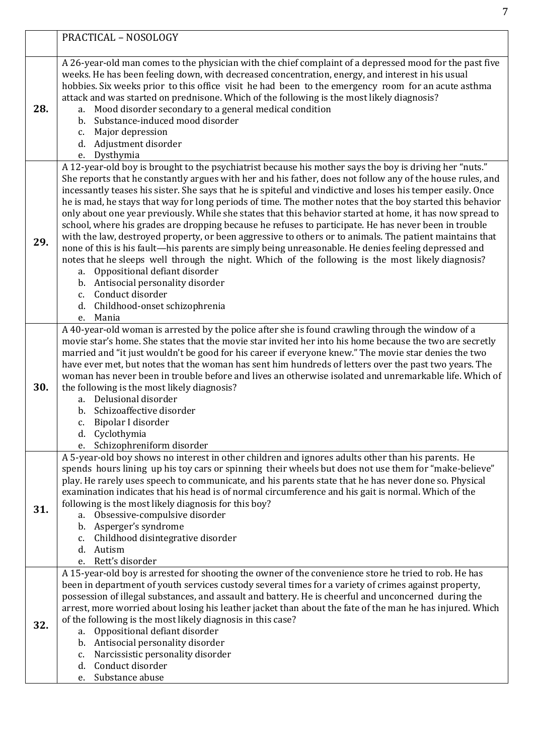|     | PRACTICAL - NOSOLOGY                                                                                                                                                                                                                                                                                                                                                                                                                                                                                                                                                                                                                                                                                                                                                                                                                                                                                                                                                                                                                                                                                                                                |
|-----|-----------------------------------------------------------------------------------------------------------------------------------------------------------------------------------------------------------------------------------------------------------------------------------------------------------------------------------------------------------------------------------------------------------------------------------------------------------------------------------------------------------------------------------------------------------------------------------------------------------------------------------------------------------------------------------------------------------------------------------------------------------------------------------------------------------------------------------------------------------------------------------------------------------------------------------------------------------------------------------------------------------------------------------------------------------------------------------------------------------------------------------------------------|
| 28. | A 26-year-old man comes to the physician with the chief complaint of a depressed mood for the past five<br>weeks. He has been feeling down, with decreased concentration, energy, and interest in his usual<br>hobbies. Six weeks prior to this office visit he had been to the emergency room for an acute asthma<br>attack and was started on prednisone. Which of the following is the most likely diagnosis?<br>a. Mood disorder secondary to a general medical condition<br>b. Substance-induced mood disorder<br>c. Major depression<br>d. Adjustment disorder<br>e. Dysthymia                                                                                                                                                                                                                                                                                                                                                                                                                                                                                                                                                                |
| 29. | A 12-year-old boy is brought to the psychiatrist because his mother says the boy is driving her "nuts."<br>She reports that he constantly argues with her and his father, does not follow any of the house rules, and<br>incessantly teases his sister. She says that he is spiteful and vindictive and loses his temper easily. Once<br>he is mad, he stays that way for long periods of time. The mother notes that the boy started this behavior<br>only about one year previously. While she states that this behavior started at home, it has now spread to<br>school, where his grades are dropping because he refuses to participate. He has never been in trouble<br>with the law, destroyed property, or been aggressive to others or to animals. The patient maintains that<br>none of this is his fault-his parents are simply being unreasonable. He denies feeling depressed and<br>notes that he sleeps well through the night. Which of the following is the most likely diagnosis?<br>a. Oppositional defiant disorder<br>b. Antisocial personality disorder<br>c. Conduct disorder<br>d. Childhood-onset schizophrenia<br>e. Mania |
| 30. | A 40-year-old woman is arrested by the police after she is found crawling through the window of a<br>movie star's home. She states that the movie star invited her into his home because the two are secretly<br>married and "it just wouldn't be good for his career if everyone knew." The movie star denies the two<br>have ever met, but notes that the woman has sent him hundreds of letters over the past two years. The<br>woman has never been in trouble before and lives an otherwise isolated and unremarkable life. Which of<br>the following is the most likely diagnosis?<br>a. Delusional disorder<br>b. Schizoaffective disorder<br>c. Bipolar I disorder<br>d. Cyclothymia<br>e. Schizophreniform disorder                                                                                                                                                                                                                                                                                                                                                                                                                        |
| 31. | A 5-year-old boy shows no interest in other children and ignores adults other than his parents. He<br>spends hours lining up his toy cars or spinning their wheels but does not use them for "make-believe"<br>play. He rarely uses speech to communicate, and his parents state that he has never done so. Physical<br>examination indicates that his head is of normal circumference and his gait is normal. Which of the<br>following is the most likely diagnosis for this boy?<br>a. Obsessive-compulsive disorder<br>b. Asperger's syndrome<br>c. Childhood disintegrative disorder<br>d. Autism<br>e. Rett's disorder                                                                                                                                                                                                                                                                                                                                                                                                                                                                                                                        |
| 32. | A 15-year-old boy is arrested for shooting the owner of the convenience store he tried to rob. He has<br>been in department of youth services custody several times for a variety of crimes against property,<br>possession of illegal substances, and assault and battery. He is cheerful and unconcerned during the<br>arrest, more worried about losing his leather jacket than about the fate of the man he has injured. Which<br>of the following is the most likely diagnosis in this case?<br>Oppositional defiant disorder<br>a.<br>b. Antisocial personality disorder<br>c. Narcissistic personality disorder<br>d. Conduct disorder<br>e. Substance abuse                                                                                                                                                                                                                                                                                                                                                                                                                                                                                 |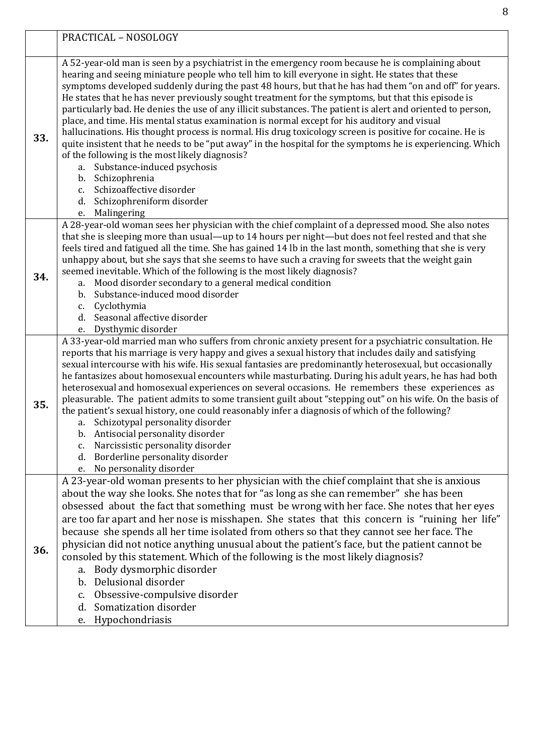|     | PRACTICAL - NOSOLOGY                                                                                                                                                                                                                                                                                                                                                                                                                                                                                                                                                                                                                                                                                                                                                                                                                                                                                                                                                                                                                                     |
|-----|----------------------------------------------------------------------------------------------------------------------------------------------------------------------------------------------------------------------------------------------------------------------------------------------------------------------------------------------------------------------------------------------------------------------------------------------------------------------------------------------------------------------------------------------------------------------------------------------------------------------------------------------------------------------------------------------------------------------------------------------------------------------------------------------------------------------------------------------------------------------------------------------------------------------------------------------------------------------------------------------------------------------------------------------------------|
| 33. | A 52-year-old man is seen by a psychiatrist in the emergency room because he is complaining about<br>hearing and seeing miniature people who tell him to kill everyone in sight. He states that these<br>symptoms developed suddenly during the past 48 hours, but that he has had them "on and off" for years.<br>He states that he has never previously sought treatment for the symptoms, but that this episode is<br>particularly bad. He denies the use of any illicit substances. The patient is alert and oriented to person,<br>place, and time. His mental status examination is normal except for his auditory and visual<br>hallucinations. His thought process is normal. His drug toxicology screen is positive for cocaine. He is<br>quite insistent that he needs to be "put away" in the hospital for the symptoms he is experiencing. Which<br>of the following is the most likely diagnosis?<br>a. Substance-induced psychosis<br>b. Schizophrenia<br>c. Schizoaffective disorder<br>d. Schizophreniform disorder<br>Malingering<br>e. |
| 34. | A 28-year-old woman sees her physician with the chief complaint of a depressed mood. She also notes<br>that she is sleeping more than usual—up to 14 hours per night—but does not feel rested and that she<br>feels tired and fatigued all the time. She has gained 14 lb in the last month, something that she is very<br>unhappy about, but she says that she seems to have such a craving for sweets that the weight gain<br>seemed inevitable. Which of the following is the most likely diagnosis?<br>Mood disorder secondary to a general medical condition<br>a.<br>b. Substance-induced mood disorder<br>c. Cyclothymia<br>d. Seasonal affective disorder<br>e. Dysthymic disorder                                                                                                                                                                                                                                                                                                                                                               |
| 35. | A 33-year-old married man who suffers from chronic anxiety present for a psychiatric consultation. He<br>reports that his marriage is very happy and gives a sexual history that includes daily and satisfying<br>sexual intercourse with his wife. His sexual fantasies are predominantly heterosexual, but occasionally<br>he fantasizes about homosexual encounters while masturbating. During his adult years, he has had both<br>heterosexual and homosexual experiences on several occasions. He remembers these experiences as<br>pleasurable. The patient admits to some transient guilt about "stepping out" on his wife. On the basis of<br>the patient's sexual history, one could reasonably infer a diagnosis of which of the following?<br>a. Schizotypal personality disorder<br>Antisocial personality disorder<br>b.<br>Narcissistic personality disorder<br>c.<br>Borderline personality disorder<br>d.<br>No personality disorder<br>e.                                                                                               |
| 36. | A 23-year-old woman presents to her physician with the chief complaint that she is anxious<br>about the way she looks. She notes that for "as long as she can remember" she has been<br>obsessed about the fact that something must be wrong with her face. She notes that her eyes<br>are too far apart and her nose is misshapen. She states that this concern is "ruining her life"<br>because she spends all her time isolated from others so that they cannot see her face. The<br>physician did not notice anything unusual about the patient's face, but the patient cannot be<br>consoled by this statement. Which of the following is the most likely diagnosis?<br>a. Body dysmorphic disorder<br>Delusional disorder<br>b.<br>Obsessive-compulsive disorder<br>$C_{\bullet}$<br>Somatization disorder<br>d.<br>e. Hypochondriasis                                                                                                                                                                                                             |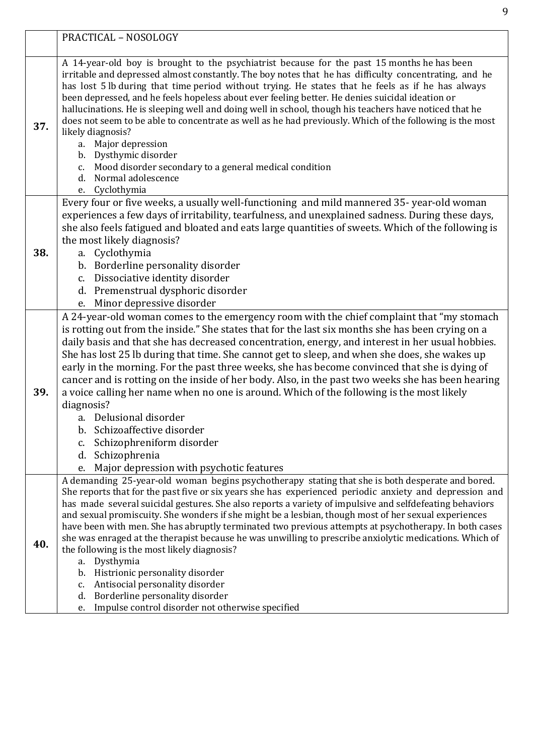|     | PRACTICAL - NOSOLOGY                                                                                                                                                                                                                                                                                                                                                                                                                                                                                                                                                                                                                                                                                                                                                                                                                                                                                                                               |
|-----|----------------------------------------------------------------------------------------------------------------------------------------------------------------------------------------------------------------------------------------------------------------------------------------------------------------------------------------------------------------------------------------------------------------------------------------------------------------------------------------------------------------------------------------------------------------------------------------------------------------------------------------------------------------------------------------------------------------------------------------------------------------------------------------------------------------------------------------------------------------------------------------------------------------------------------------------------|
| 37. | A 14-year-old boy is brought to the psychiatrist because for the past 15 months he has been<br>irritable and depressed almost constantly. The boy notes that he has difficulty concentrating, and he<br>has lost 5 lb during that time period without trying. He states that he feels as if he has always<br>been depressed, and he feels hopeless about ever feeling better. He denies suicidal ideation or<br>hallucinations. He is sleeping well and doing well in school, though his teachers have noticed that he<br>does not seem to be able to concentrate as well as he had previously. Which of the following is the most<br>likely diagnosis?<br>a. Major depression<br>b. Dysthymic disorder<br>c. Mood disorder secondary to a general medical condition<br>d. Normal adolescence<br>e. Cyclothymia                                                                                                                                    |
| 38. | Every four or five weeks, a usually well-functioning and mild mannered 35-year-old woman<br>experiences a few days of irritability, tearfulness, and unexplained sadness. During these days,<br>she also feels fatigued and bloated and eats large quantities of sweets. Which of the following is<br>the most likely diagnosis?<br>a. Cyclothymia<br>b. Borderline personality disorder<br>c. Dissociative identity disorder<br>d. Premenstrual dysphoric disorder<br>e. Minor depressive disorder                                                                                                                                                                                                                                                                                                                                                                                                                                                |
| 39. | A 24-year-old woman comes to the emergency room with the chief complaint that "my stomach<br>is rotting out from the inside." She states that for the last six months she has been crying on a<br>daily basis and that she has decreased concentration, energy, and interest in her usual hobbies.<br>She has lost 25 lb during that time. She cannot get to sleep, and when she does, she wakes up<br>early in the morning. For the past three weeks, she has become convinced that she is dying of<br>cancer and is rotting on the inside of her body. Also, in the past two weeks she has been hearing<br>a voice calling her name when no one is around. Which of the following is the most likely<br>diagnosis?<br>a. Delusional disorder<br>b. Schizoaffective disorder<br>Schizophreniform disorder<br>c.<br>d. Schizophrenia                                                                                                               |
| 40. | e. Major depression with psychotic features<br>A demanding 25-year-old woman begins psychotherapy stating that she is both desperate and bored.<br>She reports that for the past five or six years she has experienced periodic anxiety and depression and<br>has made several suicidal gestures. She also reports a variety of impulsive and selfdefeating behaviors<br>and sexual promiscuity. She wonders if she might be a lesbian, though most of her sexual experiences<br>have been with men. She has abruptly terminated two previous attempts at psychotherapy. In both cases<br>she was enraged at the therapist because he was unwilling to prescribe anxiolytic medications. Which of<br>the following is the most likely diagnosis?<br>Dysthymia<br>a.<br>b. Histrionic personality disorder<br>c. Antisocial personality disorder<br>Borderline personality disorder<br>d.<br>Impulse control disorder not otherwise specified<br>e. |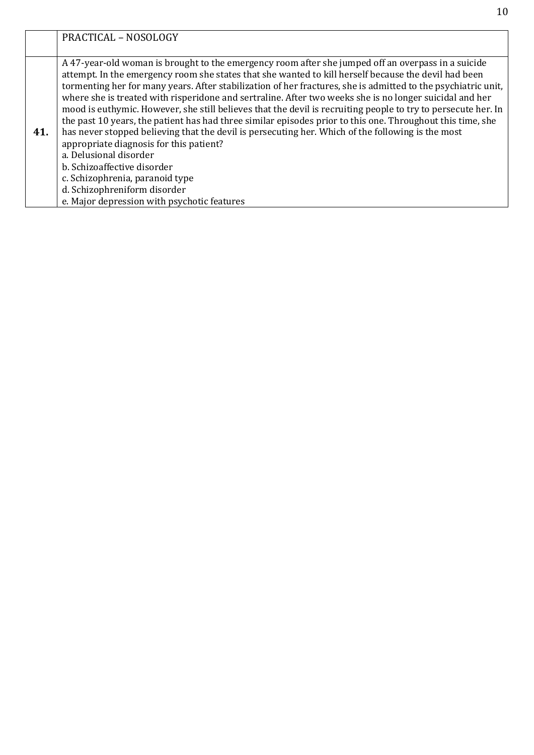|     | PRACTICAL - NOSOLOGY                                                                                                                                                                                                                                                                                                                                                                                                                                                                                                                                                                                                                                                                                                                                                                                                                                                                                                                                                                             |
|-----|--------------------------------------------------------------------------------------------------------------------------------------------------------------------------------------------------------------------------------------------------------------------------------------------------------------------------------------------------------------------------------------------------------------------------------------------------------------------------------------------------------------------------------------------------------------------------------------------------------------------------------------------------------------------------------------------------------------------------------------------------------------------------------------------------------------------------------------------------------------------------------------------------------------------------------------------------------------------------------------------------|
| 41. | A 47-year-old woman is brought to the emergency room after she jumped off an overpass in a suicide<br>attempt. In the emergency room she states that she wanted to kill herself because the devil had been<br>tormenting her for many years. After stabilization of her fractures, she is admitted to the psychiatric unit,<br>where she is treated with risperidone and sertraline. After two weeks she is no longer suicidal and her<br>mood is euthymic. However, she still believes that the devil is recruiting people to try to persecute her. In<br>the past 10 years, the patient has had three similar episodes prior to this one. Throughout this time, she<br>has never stopped believing that the devil is persecuting her. Which of the following is the most<br>appropriate diagnosis for this patient?<br>a. Delusional disorder<br>b. Schizoaffective disorder<br>c. Schizophrenia, paranoid type<br>d. Schizophreniform disorder<br>e. Major depression with psychotic features |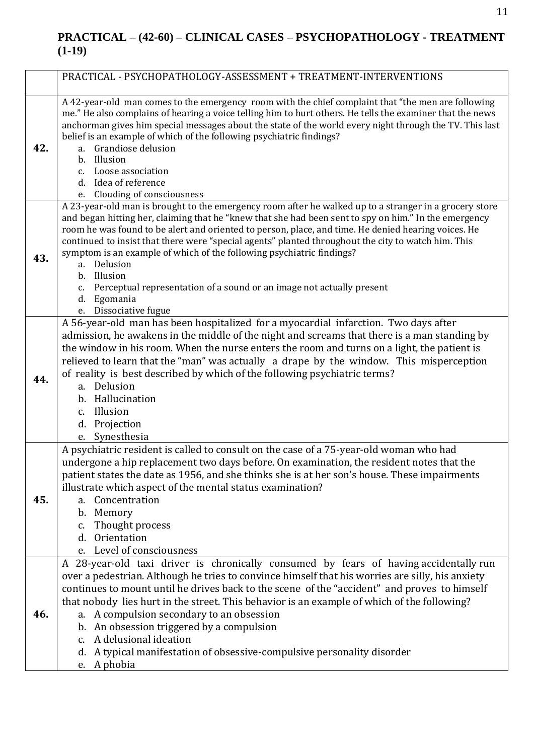### <span id="page-10-0"></span>**PRACTICAL – (42-60) – CLINICAL CASES – PSYCHOPATHOLOGY - TREATMENT (1-19)**

|     | PRACTICAL - PSYCHOPATHOLOGY-ASSESSMENT + TREATMENT-INTERVENTIONS                                                                                                                                                                                                                                                                                                                                                                                                                                                                                                                                                                                         |
|-----|----------------------------------------------------------------------------------------------------------------------------------------------------------------------------------------------------------------------------------------------------------------------------------------------------------------------------------------------------------------------------------------------------------------------------------------------------------------------------------------------------------------------------------------------------------------------------------------------------------------------------------------------------------|
| 42. | A 42-year-old man comes to the emergency room with the chief complaint that "the men are following<br>me." He also complains of hearing a voice telling him to hurt others. He tells the examiner that the news<br>anchorman gives him special messages about the state of the world every night through the TV. This last<br>belief is an example of which of the following psychiatric findings?<br>a. Grandiose delusion<br>b. Illusion<br>c. Loose association<br>d. Idea of reference<br>e. Clouding of consciousness                                                                                                                               |
| 43. | A 23-year-old man is brought to the emergency room after he walked up to a stranger in a grocery store<br>and began hitting her, claiming that he "knew that she had been sent to spy on him." In the emergency<br>room he was found to be alert and oriented to person, place, and time. He denied hearing voices. He<br>continued to insist that there were "special agents" planted throughout the city to watch him. This<br>symptom is an example of which of the following psychiatric findings?<br>a. Delusion<br>b. Illusion<br>c. Perceptual representation of a sound or an image not actually present<br>d. Egomania<br>e. Dissociative fugue |
| 44. | A 56-year-old man has been hospitalized for a myocardial infarction. Two days after<br>admission, he awakens in the middle of the night and screams that there is a man standing by<br>the window in his room. When the nurse enters the room and turns on a light, the patient is<br>relieved to learn that the "man" was actually a drape by the window. This misperception<br>of reality is best described by which of the following psychiatric terms?<br>a. Delusion<br>b. Hallucination<br>c. Illusion<br>d. Projection                                                                                                                            |
| 45. | e. Synesthesia<br>A psychiatric resident is called to consult on the case of a 75-year-old woman who had<br>undergone a hip replacement two days before. On examination, the resident notes that the<br>patient states the date as 1956, and she thinks she is at her son's house. These impairments<br>illustrate which aspect of the mental status examination?<br>a. Concentration<br>b. Memory<br>c. Thought process<br>d. Orientation<br>e. Level of consciousness                                                                                                                                                                                  |
| 46. | A 28-year-old taxi driver is chronically consumed by fears of having accidentally run<br>over a pedestrian. Although he tries to convince himself that his worries are silly, his anxiety<br>continues to mount until he drives back to the scene of the "accident" and proves to himself<br>that nobody lies hurt in the street. This behavior is an example of which of the following?<br>a. A compulsion secondary to an obsession<br>b. An obsession triggered by a compulsion<br>c. A delusional ideation<br>d. A typical manifestation of obsessive-compulsive personality disorder<br>e. A phobia                                                 |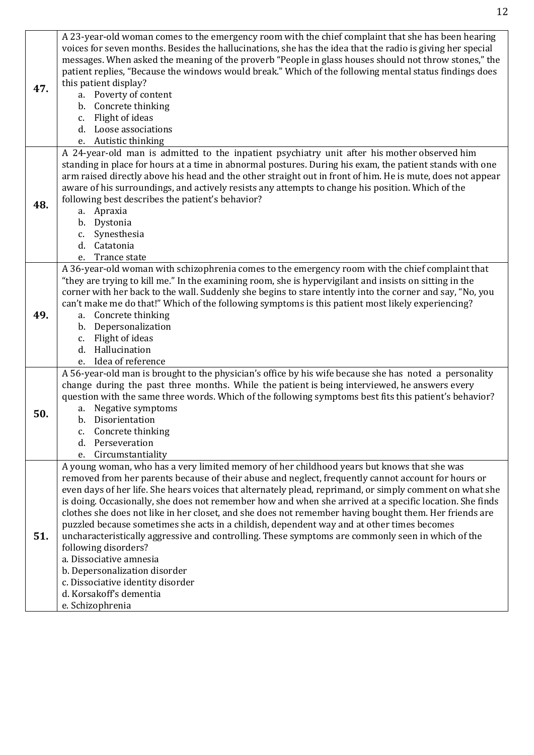|     | A 23-year-old woman comes to the emergency room with the chief complaint that she has been hearing         |
|-----|------------------------------------------------------------------------------------------------------------|
| 47. | voices for seven months. Besides the hallucinations, she has the idea that the radio is giving her special |
|     | messages. When asked the meaning of the proverb "People in glass houses should not throw stones," the      |
|     | patient replies, "Because the windows would break." Which of the following mental status findings does     |
|     | this patient display?                                                                                      |
|     | a. Poverty of content                                                                                      |
|     | b. Concrete thinking                                                                                       |
|     | c. Flight of ideas                                                                                         |
|     | d. Loose associations                                                                                      |
|     | e. Autistic thinking                                                                                       |
|     | A 24-year-old man is admitted to the inpatient psychiatry unit after his mother observed him               |
|     | standing in place for hours at a time in abnormal postures. During his exam, the patient stands with one   |
|     | arm raised directly above his head and the other straight out in front of him. He is mute, does not appear |
|     | aware of his surroundings, and actively resists any attempts to change his position. Which of the          |
| 48. | following best describes the patient's behavior?                                                           |
|     | a. Apraxia                                                                                                 |
|     | b. Dystonia                                                                                                |
|     | Synesthesia<br>C.                                                                                          |
|     | d. Catatonia                                                                                               |
|     | Trance state<br>e.                                                                                         |
|     | A 36-year-old woman with schizophrenia comes to the emergency room with the chief complaint that           |
| 49. | "they are trying to kill me." In the examining room, she is hypervigilant and insists on sitting in the    |
|     | corner with her back to the wall. Suddenly she begins to stare intently into the corner and say, "No, you  |
|     | can't make me do that!" Which of the following symptoms is this patient most likely experiencing?          |
|     | a. Concrete thinking                                                                                       |
|     | b. Depersonalization                                                                                       |
|     | Flight of ideas<br>$c_{\cdot}$<br>d. Hallucination                                                         |
|     | e. Idea of reference                                                                                       |
|     | A 56-year-old man is brought to the physician's office by his wife because she has noted a personality     |
|     | change during the past three months. While the patient is being interviewed, he answers every              |
|     | question with the same three words. Which of the following symptoms best fits this patient's behavior?     |
|     | Negative symptoms<br>a.                                                                                    |
| 50. | b. Disorientation                                                                                          |
|     | Concrete thinking                                                                                          |
|     | Perseveration<br>d.                                                                                        |
|     | Circumstantiality<br>e.                                                                                    |
|     | A young woman, who has a very limited memory of her childhood years but knows that she was                 |
|     | removed from her parents because of their abuse and neglect, frequently cannot account for hours or        |
|     | even days of her life. She hears voices that alternately plead, reprimand, or simply comment on what she   |
|     | is doing. Occasionally, she does not remember how and when she arrived at a specific location. She finds   |
|     | clothes she does not like in her closet, and she does not remember having bought them. Her friends are     |
|     | puzzled because sometimes she acts in a childish, dependent way and at other times becomes                 |
| 51. | uncharacteristically aggressive and controlling. These symptoms are commonly seen in which of the          |
|     | following disorders?                                                                                       |
|     | a. Dissociative amnesia                                                                                    |
|     | b. Depersonalization disorder                                                                              |
|     | c. Dissociative identity disorder                                                                          |
|     | d. Korsakoff's dementia                                                                                    |
|     | e. Schizophrenia                                                                                           |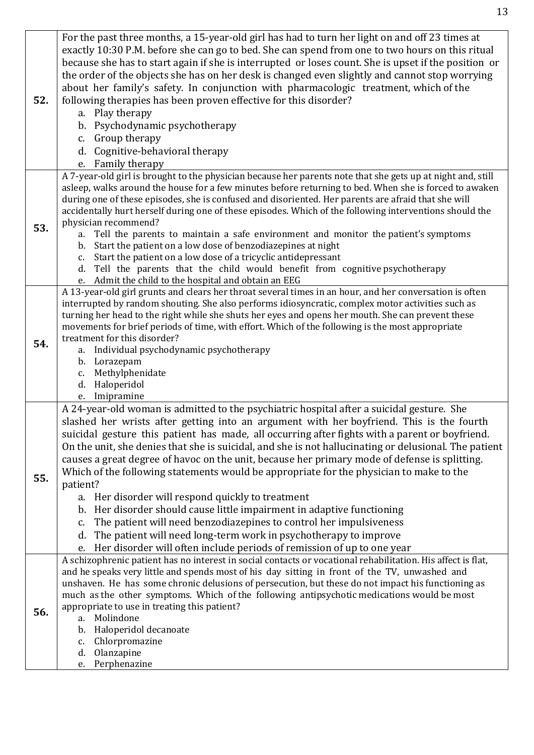| 52. | For the past three months, a 15-year-old girl has had to turn her light on and off 23 times at<br>exactly 10:30 P.M. before she can go to bed. She can spend from one to two hours on this ritual<br>because she has to start again if she is interrupted or loses count. She is upset if the position or<br>the order of the objects she has on her desk is changed even slightly and cannot stop worrying<br>about her family's safety. In conjunction with pharmacologic treatment, which of the<br>following therapies has been proven effective for this disorder?<br>a. Play therapy<br>b. Psychodynamic psychotherapy<br>c. Group therapy<br>d. Cognitive-behavioral therapy<br>e. Family therapy                                                                                                                                                                                                                                                                |
|-----|-------------------------------------------------------------------------------------------------------------------------------------------------------------------------------------------------------------------------------------------------------------------------------------------------------------------------------------------------------------------------------------------------------------------------------------------------------------------------------------------------------------------------------------------------------------------------------------------------------------------------------------------------------------------------------------------------------------------------------------------------------------------------------------------------------------------------------------------------------------------------------------------------------------------------------------------------------------------------|
| 53. | A 7-year-old girl is brought to the physician because her parents note that she gets up at night and, still<br>asleep, walks around the house for a few minutes before returning to bed. When she is forced to awaken<br>during one of these episodes, she is confused and disoriented. Her parents are afraid that she will<br>accidentally hurt herself during one of these episodes. Which of the following interventions should the<br>physician recommend?<br>a. Tell the parents to maintain a safe environment and monitor the patient's symptoms<br>b. Start the patient on a low dose of benzodiazepines at night<br>c. Start the patient on a low dose of a tricyclic antidepressant<br>d. Tell the parents that the child would benefit from cognitive psychotherapy<br>Admit the child to the hospital and obtain an EEG<br>e.                                                                                                                              |
| 54. | A 13-year-old girl grunts and clears her throat several times in an hour, and her conversation is often<br>interrupted by random shouting. She also performs idiosyncratic, complex motor activities such as<br>turning her head to the right while she shuts her eyes and opens her mouth. She can prevent these<br>movements for brief periods of time, with effort. Which of the following is the most appropriate<br>treatment for this disorder?<br>a. Individual psychodynamic psychotherapy<br>b. Lorazepam<br>Methylphenidate<br>C.<br>d. Haloperidol<br>e. Imipramine                                                                                                                                                                                                                                                                                                                                                                                          |
| 55. | A 24-year-old woman is admitted to the psychiatric hospital after a suicidal gesture. She<br>slashed her wrists after getting into an argument with her boyfriend. This is the fourth<br>suicidal gesture this patient has made, all occurring after fights with a parent or boyfriend.<br>On the unit, she denies that she is suicidal, and she is not hallucinating or delusional. The patient<br>causes a great degree of havoc on the unit, because her primary mode of defense is splitting.<br>Which of the following statements would be appropriate for the physician to make to the<br>patient?<br>a. Her disorder will respond quickly to treatment<br>b. Her disorder should cause little impairment in adaptive functioning<br>The patient will need benzodiazepines to control her impulsiveness<br>c.<br>d. The patient will need long-term work in psychotherapy to improve<br>e. Her disorder will often include periods of remission of up to one year |
| 56. | A schizophrenic patient has no interest in social contacts or vocational rehabilitation. His affect is flat,<br>and he speaks very little and spends most of his day sitting in front of the TV, unwashed and<br>unshaven. He has some chronic delusions of persecution, but these do not impact his functioning as<br>much as the other symptoms. Which of the following antipsychotic medications would be most<br>appropriate to use in treating this patient?<br>Molindone<br>a.<br>Haloperidol decanoate<br>b.<br>Chlorpromazine<br>c.<br>Olanzapine<br>d.<br>Perphenazine<br>e.                                                                                                                                                                                                                                                                                                                                                                                   |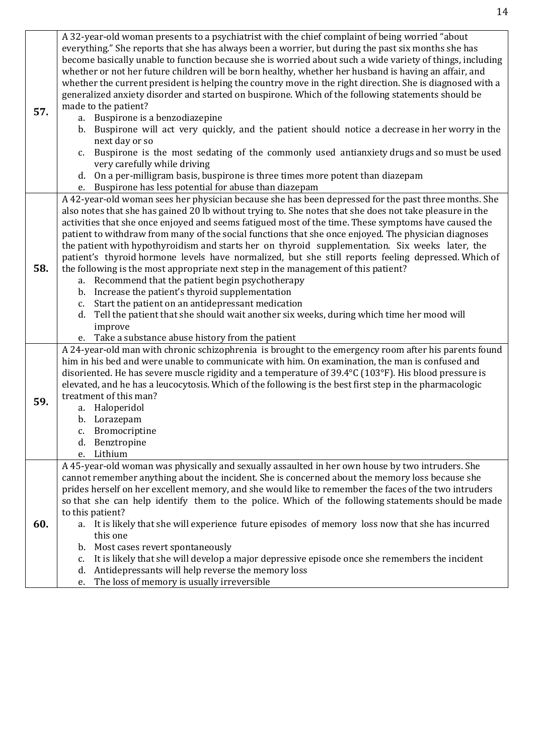|     | A 32-year-old woman presents to a psychiatrist with the chief complaint of being worried "about"          |
|-----|-----------------------------------------------------------------------------------------------------------|
|     | everything." She reports that she has always been a worrier, but during the past six months she has       |
|     | become basically unable to function because she is worried about such a wide variety of things, including |
|     | whether or not her future children will be born healthy, whether her husband is having an affair, and     |
|     | whether the current president is helping the country move in the right direction. She is diagnosed with a |
|     | generalized anxiety disorder and started on buspirone. Which of the following statements should be        |
|     | made to the patient?                                                                                      |
| 57. | a. Buspirone is a benzodiazepine                                                                          |
|     | b. Buspirone will act very quickly, and the patient should notice a decrease in her worry in the          |
|     | next day or so                                                                                            |
|     | c. Buspirone is the most sedating of the commonly used antianxiety drugs and so must be used              |
|     | very carefully while driving                                                                              |
|     | d. On a per-milligram basis, buspirone is three times more potent than diazepam                           |
|     | e. Buspirone has less potential for abuse than diazepam                                                   |
|     | A 42-year-old woman sees her physician because she has been depressed for the past three months. She      |
|     | also notes that she has gained 20 lb without trying to. She notes that she does not take pleasure in the  |
|     | activities that she once enjoyed and seems fatigued most of the time. These symptoms have caused the      |
|     | patient to withdraw from many of the social functions that she once enjoyed. The physician diagnoses      |
|     | the patient with hypothyroidism and starts her on thyroid supplementation. Six weeks later, the           |
|     | patient's thyroid hormone levels have normalized, but she still reports feeling depressed. Which of       |
| 58. | the following is the most appropriate next step in the management of this patient?                        |
|     | a. Recommend that the patient begin psychotherapy                                                         |
|     | Increase the patient's thyroid supplementation<br>b.                                                      |
|     | Start the patient on an antidepressant medication<br>C.                                                   |
|     | d. Tell the patient that she should wait another six weeks, during which time her mood will               |
|     | improve                                                                                                   |
|     | e. Take a substance abuse history from the patient                                                        |
|     | A 24-year-old man with chronic schizophrenia is brought to the emergency room after his parents found     |
|     | him in his bed and were unable to communicate with him. On examination, the man is confused and           |
|     | disoriented. He has severe muscle rigidity and a temperature of 39.4°C (103°F). His blood pressure is     |
|     | elevated, and he has a leucocytosis. Which of the following is the best first step in the pharmacologic   |
| 59. | treatment of this man?                                                                                    |
|     | a. Haloperidol                                                                                            |
|     | b. Lorazepam                                                                                              |
|     | c. Bromocriptine                                                                                          |
|     | d. Benztropine                                                                                            |
|     | e. Lithium                                                                                                |
|     | A 45-year-old woman was physically and sexually assaulted in her own house by two intruders. She          |
|     | cannot remember anything about the incident. She is concerned about the memory loss because she           |
|     | prides herself on her excellent memory, and she would like to remember the faces of the two intruders     |
|     | so that she can help identify them to the police. Which of the following statements should be made        |
|     | to this patient?                                                                                          |
| 60. | a. It is likely that she will experience future episodes of memory loss now that she has incurred         |
|     | this one                                                                                                  |
|     | Most cases revert spontaneously<br>b.                                                                     |
|     | It is likely that she will develop a major depressive episode once she remembers the incident<br>c.       |
|     | Antidepressants will help reverse the memory loss<br>d.                                                   |
|     | The loss of memory is usually irreversible<br>e.                                                          |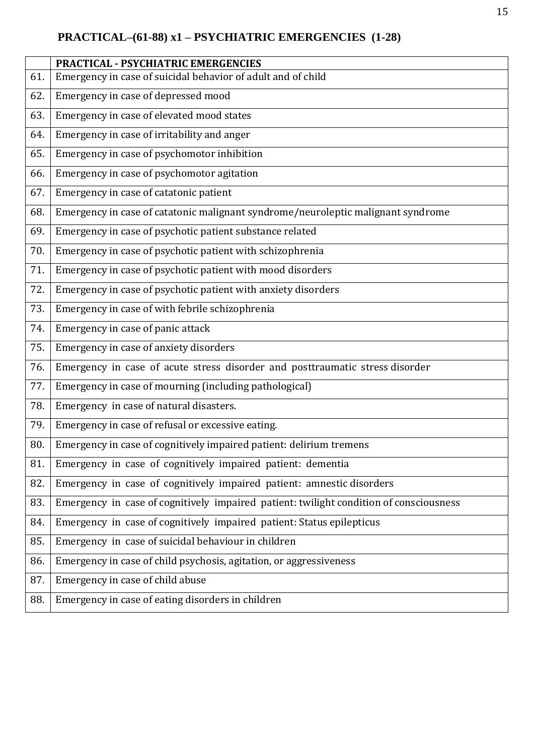## **PRACTICAL–(61-88) x1 – PSYCHIATRIC EMERGENCIES (1-28)**

<span id="page-14-0"></span>

|     | <b>PRACTICAL - PSYCHIATRIC EMERGENCIES</b>                                             |
|-----|----------------------------------------------------------------------------------------|
| 61. | Emergency in case of suicidal behavior of adult and of child                           |
| 62. | Emergency in case of depressed mood                                                    |
| 63. | Emergency in case of elevated mood states                                              |
| 64. | Emergency in case of irritability and anger                                            |
| 65. | Emergency in case of psychomotor inhibition                                            |
| 66. | Emergency in case of psychomotor agitation                                             |
| 67. | Emergency in case of catatonic patient                                                 |
| 68. | Emergency in case of catatonic malignant syndrome/neuroleptic malignant syndrome       |
| 69. | Emergency in case of psychotic patient substance related                               |
| 70. | Emergency in case of psychotic patient with schizophrenia                              |
| 71. | Emergency in case of psychotic patient with mood disorders                             |
| 72. | Emergency in case of psychotic patient with anxiety disorders                          |
| 73. | Emergency in case of with febrile schizophrenia                                        |
| 74. | Emergency in case of panic attack                                                      |
| 75. | Emergency in case of anxiety disorders                                                 |
| 76. | Emergency in case of acute stress disorder and posttraumatic stress disorder           |
| 77. | Emergency in case of mourning (including pathological)                                 |
| 78. | Emergency in case of natural disasters.                                                |
| 79. | Emergency in case of refusal or excessive eating.                                      |
| 80. | Emergency in case of cognitively impaired patient: delirium tremens                    |
| 81. | Emergency in case of cognitively impaired patient: dementia                            |
| 82. | Emergency in case of cognitively impaired patient: amnestic disorders                  |
| 83. | Emergency in case of cognitively impaired patient: twilight condition of consciousness |
| 84. | Emergency in case of cognitively impaired patient: Status epilepticus                  |
| 85. | Emergency in case of suicidal behaviour in children                                    |
| 86. | Emergency in case of child psychosis, agitation, or aggressiveness                     |
| 87. | Emergency in case of child abuse                                                       |
| 88. | Emergency in case of eating disorders in children                                      |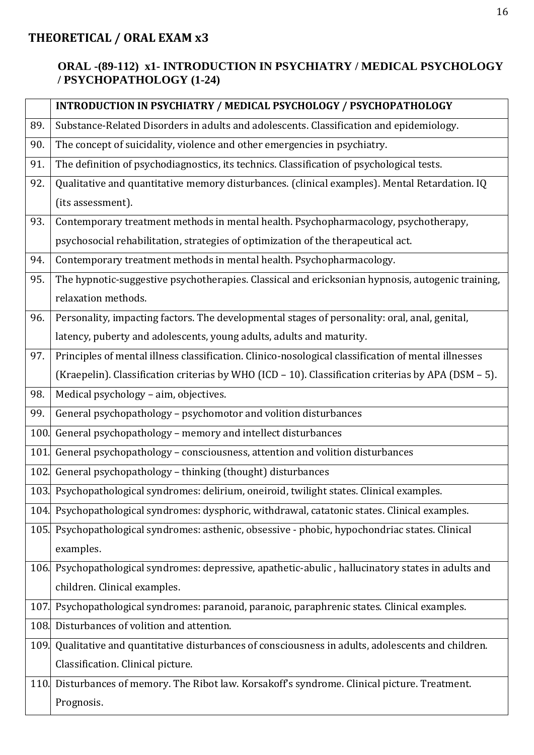# <span id="page-15-1"></span><span id="page-15-0"></span>**THEORETICAL / ORAL EXAM x3**

#### **ORAL -(89-112) x1- INTRODUCTION IN PSYCHIATRY / MEDICAL PSYCHOLOGY / PSYCHOPATHOLOGY (1-24)**

|      | INTRODUCTION IN PSYCHIATRY / MEDICAL PSYCHOLOGY / PSYCHOPATHOLOGY                                   |
|------|-----------------------------------------------------------------------------------------------------|
| 89.  | Substance-Related Disorders in adults and adolescents. Classification and epidemiology.             |
| 90.  | The concept of suicidality, violence and other emergencies in psychiatry.                           |
| 91.  | The definition of psychodiagnostics, its technics. Classification of psychological tests.           |
| 92.  | Qualitative and quantitative memory disturbances. (clinical examples). Mental Retardation. IQ       |
|      | (its assessment).                                                                                   |
| 93.  | Contemporary treatment methods in mental health. Psychopharmacology, psychotherapy,                 |
|      | psychosocial rehabilitation, strategies of optimization of the therapeutical act.                   |
| 94.  | Contemporary treatment methods in mental health. Psychopharmacology.                                |
| 95.  | The hypnotic-suggestive psychotherapies. Classical and ericksonian hypnosis, autogenic training,    |
|      | relaxation methods.                                                                                 |
| 96.  | Personality, impacting factors. The developmental stages of personality: oral, anal, genital,       |
|      | latency, puberty and adolescents, young adults, adults and maturity.                                |
| 97.  | Principles of mental illness classification. Clinico-nosological classification of mental illnesses |
|      | (Kraepelin). Classification criterias by WHO (ICD - 10). Classification criterias by APA (DSM - 5). |
| 98.  | Medical psychology - aim, objectives.                                                               |
| 99.  | General psychopathology - psychomotor and volition disturbances                                     |
| 100. | General psychopathology - memory and intellect disturbances                                         |
| 101. | General psychopathology - consciousness, attention and volition disturbances                        |
| 102. | General psychopathology - thinking (thought) disturbances                                           |
|      | 103. Psychopathological syndromes: delirium, oneiroid, twilight states. Clinical examples.          |
| 104. | Psychopathological syndromes: dysphoric, withdrawal, catatonic states. Clinical examples.           |
| 105. | Psychopathological syndromes: asthenic, obsessive - phobic, hypochondriac states. Clinical          |
|      | examples.                                                                                           |
| 106. | Psychopathological syndromes: depressive, apathetic-abulic, hallucinatory states in adults and      |
|      | children. Clinical examples.                                                                        |
| 107. | Psychopathological syndromes: paranoid, paranoic, paraphrenic states. Clinical examples.            |
| 108. | Disturbances of volition and attention.                                                             |
| 109. | Qualitative and quantitative disturbances of consciousness in adults, adolescents and children.     |
|      | Classification. Clinical picture.                                                                   |
| 110. | Disturbances of memory. The Ribot law. Korsakoff's syndrome. Clinical picture. Treatment.           |
|      | Prognosis.                                                                                          |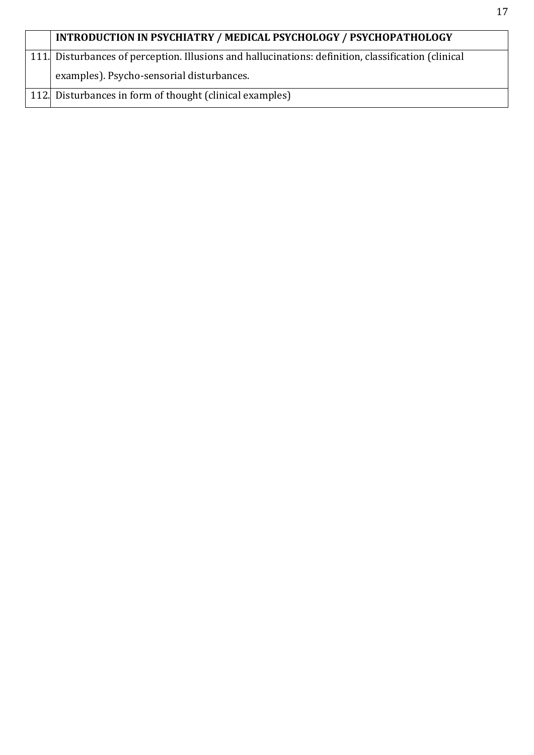| INTRODUCTION IN PSYCHIATRY / MEDICAL PSYCHOLOGY / PSYCHOPATHOLOGY                                   |
|-----------------------------------------------------------------------------------------------------|
| 111. Disturbances of perception. Illusions and hallucinations: definition, classification (clinical |
| examples). Psycho-sensorial disturbances.                                                           |
| 112. Disturbances in form of thought (clinical examples)                                            |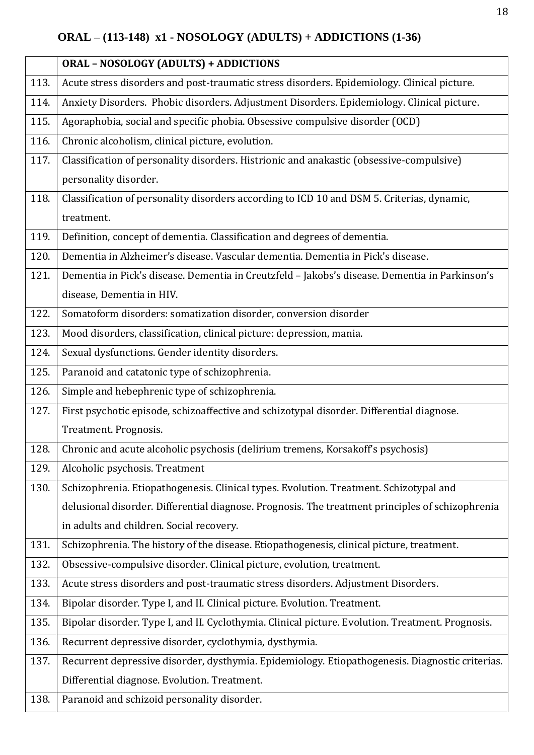## **ORAL – (113-148) x1 - NOSOLOGY (ADULTS) + ADDICTIONS (1-36)**

<span id="page-17-0"></span>

|      | <b>ORAL - NOSOLOGY (ADULTS) + ADDICTIONS</b>                                                      |
|------|---------------------------------------------------------------------------------------------------|
| 113. | Acute stress disorders and post-traumatic stress disorders. Epidemiology. Clinical picture.       |
| 114. | Anxiety Disorders. Phobic disorders. Adjustment Disorders. Epidemiology. Clinical picture.        |
| 115. | Agoraphobia, social and specific phobia. Obsessive compulsive disorder (OCD)                      |
| 116. | Chronic alcoholism, clinical picture, evolution.                                                  |
| 117. | Classification of personality disorders. Histrionic and anakastic (obsessive-compulsive)          |
|      | personality disorder.                                                                             |
| 118. | Classification of personality disorders according to ICD 10 and DSM 5. Criterias, dynamic,        |
|      | treatment.                                                                                        |
| 119. | Definition, concept of dementia. Classification and degrees of dementia.                          |
| 120. | Dementia in Alzheimer's disease. Vascular dementia. Dementia in Pick's disease.                   |
| 121. | Dementia in Pick's disease. Dementia in Creutzfeld - Jakobs's disease. Dementia in Parkinson's    |
|      | disease, Dementia in HIV.                                                                         |
| 122. | Somatoform disorders: somatization disorder, conversion disorder                                  |
| 123. | Mood disorders, classification, clinical picture: depression, mania.                              |
| 124. | Sexual dysfunctions. Gender identity disorders.                                                   |
| 125. | Paranoid and catatonic type of schizophrenia.                                                     |
| 126. | Simple and hebephrenic type of schizophrenia.                                                     |
| 127. | First psychotic episode, schizoaffective and schizotypal disorder. Differential diagnose.         |
|      | Treatment. Prognosis.                                                                             |
| 128. | Chronic and acute alcoholic psychosis (delirium tremens, Korsakoff's psychosis)                   |
| 129. | Alcoholic psychosis. Treatment                                                                    |
| 130. | Schizophrenia. Etiopathogenesis. Clinical types. Evolution. Treatment. Schizotypal and            |
|      | delusional disorder. Differential diagnose. Prognosis. The treatment principles of schizophrenia  |
|      | in adults and children. Social recovery.                                                          |
| 131. | Schizophrenia. The history of the disease. Etiopathogenesis, clinical picture, treatment.         |
| 132. | Obsessive-compulsive disorder. Clinical picture, evolution, treatment.                            |
| 133. | Acute stress disorders and post-traumatic stress disorders. Adjustment Disorders.                 |
| 134. | Bipolar disorder. Type I, and II. Clinical picture. Evolution. Treatment.                         |
| 135. | Bipolar disorder. Type I, and II. Cyclothymia. Clinical picture. Evolution. Treatment. Prognosis. |
| 136. | Recurrent depressive disorder, cyclothymia, dysthymia.                                            |
| 137. | Recurrent depressive disorder, dysthymia. Epidemiology. Etiopathogenesis. Diagnostic criterias.   |
|      | Differential diagnose. Evolution. Treatment.                                                      |
| 138. | Paranoid and schizoid personality disorder.                                                       |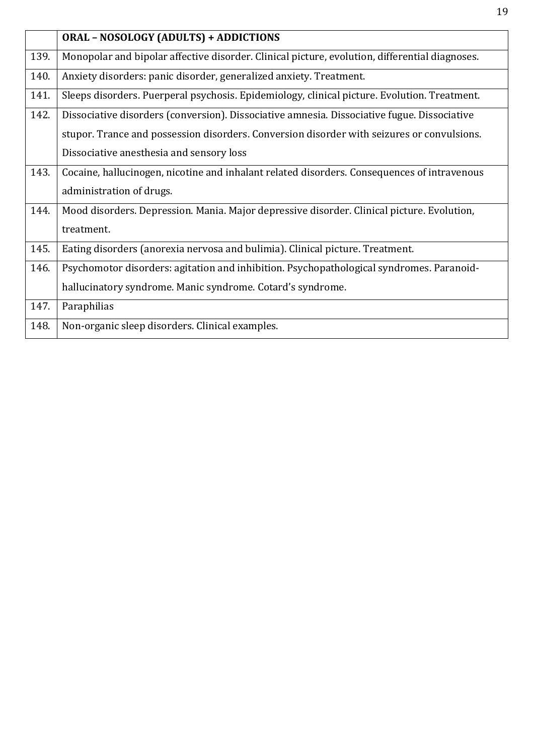|      | <b>ORAL - NOSOLOGY (ADULTS) + ADDICTIONS</b>                                                   |
|------|------------------------------------------------------------------------------------------------|
| 139. | Monopolar and bipolar affective disorder. Clinical picture, evolution, differential diagnoses. |
| 140. | Anxiety disorders: panic disorder, generalized anxiety. Treatment.                             |
| 141. | Sleeps disorders. Puerperal psychosis. Epidemiology, clinical picture. Evolution. Treatment.   |
| 142. | Dissociative disorders (conversion). Dissociative amnesia. Dissociative fugue. Dissociative    |
|      | stupor. Trance and possession disorders. Conversion disorder with seizures or convulsions.     |
|      | Dissociative anesthesia and sensory loss                                                       |
| 143. | Cocaine, hallucinogen, nicotine and inhalant related disorders. Consequences of intravenous    |
|      | administration of drugs.                                                                       |
| 144. | Mood disorders. Depression. Mania. Major depressive disorder. Clinical picture. Evolution,     |
|      | treatment.                                                                                     |
| 145. | Eating disorders (anorexia nervosa and bulimia). Clinical picture. Treatment.                  |
| 146. | Psychomotor disorders: agitation and inhibition. Psychopathological syndromes. Paranoid-       |
|      | hallucinatory syndrome. Manic syndrome. Cotard's syndrome.                                     |
| 147. | Paraphilias                                                                                    |
| 148. | Non-organic sleep disorders. Clinical examples.                                                |